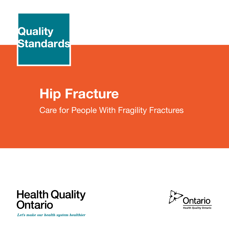

# **Hip Fracture**

Care for People With Fragility Fractures



Let's make our health system healthier

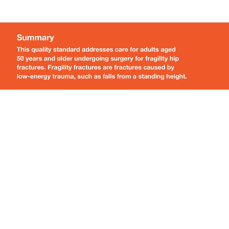# **Summary**

**This quality standard addresses care for adults aged 50 years and older undergoing surgery for fragility hip fractures. Fragility fractures are fractures caused by low-energy trauma, such as falls from a standing height.**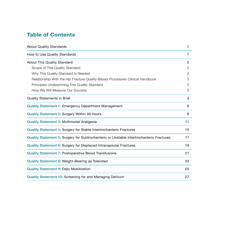# **Table of Contents**

| <b>About Quality Standards</b>                                                           | 1              |
|------------------------------------------------------------------------------------------|----------------|
| How to Use Quality Standards                                                             | 1              |
| <b>About This Quality Standard</b>                                                       | $\mathfrak{p}$ |
| Scope of This Quality Standard                                                           | 2              |
| Why This Quality Standard Is Needed                                                      | 2              |
| Relationship With the Hip Fracture Quality-Based Procedures Clinical Handbook            | 3              |
| Principles Underpinning This Quality Standard                                            | 3              |
| How We Will Measure Our Success                                                          | 3              |
| <b>Quality Statements in Brief</b>                                                       | 4              |
| <b>Quality Statement 1: Emergency Department Management</b>                              | 6              |
| Quality Statement 2: Surgery Within 48 Hours                                             | 9              |
| Quality Statement 3: Multimodal Analgesia                                                | 11             |
| Quality Statement 4: Surgery for Stable Intertrochanteric Fractures                      | 15             |
| Quality Statement 5: Surgery for Subtrochanteric or Unstable Intertrochanteric Fractures | 17             |
| Quality Statement 6: Surgery for Displaced Intracapsular Fractures                       | 19             |
| <b>Quality Statement 7: Postoperative Blood Transfusions</b>                             | 21             |
| Quality Statement 8: Weight-Bearing as Tolerated                                         | 23             |
| <b>Quality Statement 9: Daily Mobilization</b>                                           | 25             |
| <b>Quality Statement 10: Screening for and Managing Delirium</b>                         | 27             |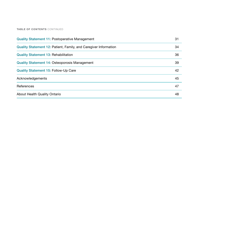#### **TABLE OF CONTENTS** CONTINUED

| Quality Statement 12: Patient, Family, and Caregiver Information | 34 |
|------------------------------------------------------------------|----|
| <b>Quality Statement 13: Rehabilitation</b>                      | 36 |
| Quality Statement 14: Osteoporosis Management                    | 39 |
| <b>Quality Statement 15: Follow-Up Care</b>                      | 42 |
| Acknowledgements                                                 | 45 |
| References                                                       | 47 |
| About Health Quality Ontario                                     | 48 |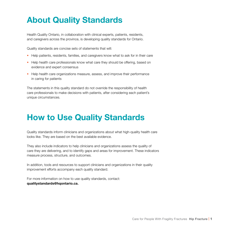# **About Quality Standards**

Health Quality Ontario, in collaboration with clinical experts, patients, residents, and caregivers across the province, is developing quality standards for Ontario.

Quality standards are concise sets of statements that will:

- Help patients, residents, families, and caregivers know what to ask for in their care
- Help health care professionals know what care they should be offering, based on evidence and expert consensus
- Help health care organizations measure, assess, and improve their performance in caring for patients

The statements in this quality standard do not override the responsibility of health care professionals to make decisions with patients, after considering each patient's unique circumstances.

# **How to Use Quality Standards**

Quality standards inform clinicians and organizations about what high-quality health care looks like. They are based on the best available evidence.

They also include indicators to help clinicians and organizations assess the quality of care they are delivering, and to identify gaps and areas for improvement. These indicators measure process, structure, and outcomes.

In addition, tools and resources to support clinicians and organizations in their quality improvement efforts accompany each quality standard.

For more information on how to use quality standards, contact: **qualitystandards@hqontario.ca.**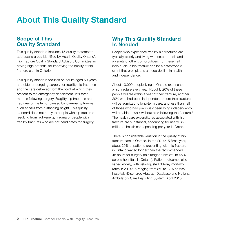# **About This Quality Standard**

# **Scope of This Quality Standard**

This quality standard includes 15 quality statements addressing areas identified by Health Quality Ontario's Hip Fracture Quality Standard Advisory Committee as having high potential for improving the quality of hip fracture care in Ontario.

This quality standard focuses on adults aged 50 years and older undergoing surgery for fragility hip fractures and the care delivered from the point at which they present to the emergency department until three months following surgery. Fragility hip fractures are fractures of the femur caused by low-energy trauma, such as falls from a standing height. This quality standard does not apply to people with hip fractures resulting from high-energy trauma or people with fragility fractures who are not candidates for surgery.

# **Why This Quality Standard Is Needed**

People who experience fragility hip fractures are typically elderly and living with osteoporosis and a variety of other comorbidities. For these frail individuals, a hip fracture can be a catastrophic event that precipitates a steep decline in health and independence.

About 13,000 people living in Ontario experience a hip fracture every year. Roughly 20% of these people will die within a year of their fracture, another 20% who had been independent before their fracture will be admitted to long-term care, and less than half of those who had previously been living independently will be able to walk without aids following the fracture.<sup>1</sup> The health care expenditures associated with hip fracture are substantial, accounting for nearly \$500 million of health care spending per year in Ontario.<sup>1</sup>

There is considerable variation in the quality of hip fracture care in Ontario. In the 2014/15 fiscal year, about 20% of patients presenting with hip fracture in Ontario waited longer than the recommended 48 hours for surgery (this ranged from 2% to 45% across hospitals in Ontario). Patient outcomes also varied widely, with risk-adjusted 30-day mortality rates in 2014/15 ranging from 3% to 17% across hospitals (Discharge Abstract Database and National Ambulatory Care Reporting System, April 2016).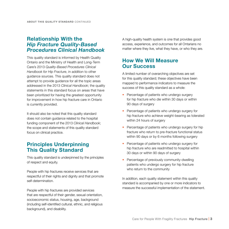# **Relationship With the**  *Hip Fracture Quality-Based Procedures Clinical Handbook*

This quality standard is informed by Health Quality Ontario and the Ministry of Health and Long-Term Care's 2013 *Quality-Based Procedures Clinical Handbook for Hip Fracture*, in addition to other guidance sources. This quality standard does not attempt to provide guidance for all the topic areas addressed in the 2013 *Clinical Handbook*; the quality statements in this standard focus on areas that have been prioritized for having the greatest opportunity for improvement in how hip fracture care in Ontario is currently provided.

It should also be noted that this quality standard does not contain guidance related to the hospital funding component of the 2013 *Clinical Handbook*; the scope and statements of this quality standard focus on clinical practice.

# **Principles Underpinning This Quality Standard**

This quality standard is underpinned by the principles of respect and equity.

People with hip fractures receive services that are respectful of their rights and dignity and that promote self-determination.

People with hip fractures are provided services that are respectful of their gender, sexual orientation, socioeconomic status, housing, age, background (including self-identified cultural, ethnic, and religious background), and disability.

A high-quality health system is one that provides good access, experience, and outcomes for all Ontarians no matter where they live, what they have, or who they are.

# **How We Will Measure Our Success**

A limited number of overarching objectives are set for this quality standard; these objectives have been mapped to performance indicators to measure the success of this quality standard as a whole:

- Percentage of patients who undergo surgery for hip fracture who die within 30 days or within 90 days of surgery
- Percentage of patients who undergo surgery for hip fracture who achieve weight-bearing as tolerated within 24 hours of surgery
- Percentage of patients who undergo surgery for hip fracture who return to pre-fracture functional status within 90 days or by 6 months following surgery
- Percentage of patients who undergo surgery for hip fracture who are readmitted to hospital within 30 days or within 90 days of surgery
- Percentage of previously community-dwelling patients who undergo surgery for hip fracture who return to the community

In addition, each quality statement within this quality standard is accompanied by one or more indicators to measure the successful implementation of the statement.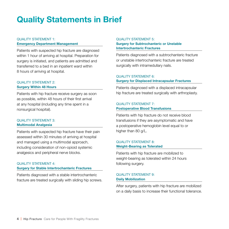# **Quality Statements in Brief**

### QUALITY STATEMENT 1: **Emergency Department Management**

Patients with suspected hip fracture are diagnosed within 1 hour of arriving at hospital. Preparation for surgery is initiated, and patients are admitted and transferred to a bed in an inpatient ward within 8 hours of arriving at hospital.

### QUALITY STATEMENT 2: **Surgery Within 48 Hours**

Patients with hip fracture receive surgery as soon as possible, within 48 hours of their first arrival at any hospital (including any time spent in a nonsurgical hospital).

### QUALITY STATEMENT 3: **Multimodal Analgesia**

Patients with suspected hip fracture have their pain assessed within 30 minutes of arriving at hospital and managed using a multimodal approach, including consideration of non-opioid systemic analgesics and peripheral nerve blocks.

### QUALITY STATEMENT 4: **Surgery for Stable Intertrochanteric Fractures**

Patients diagnosed with a stable intertrochanteric fracture are treated surgically with sliding hip screws.

### QUALITY STATEMENT 5: **Surgery for Subtrochanteric or Unstable Intertrochanteric Fractures**

Patients diagnosed with a subtrochanteric fracture or unstable intertrochanteric fracture are treated surgically with intramedullary nails.

### QUALITY STATEMENT 6: **Surgery for Displaced Intracapsular Fractures**

Patients diagnosed with a displaced intracapsular hip fracture are treated surgically with arthroplasty.

### QUALITY STATEMENT 7: **Postoperative Blood Transfusions**

Patients with hip fracture do not receive blood transfusions if they are asymptomatic and have a postoperative hemoglobin level equal to or higher than 80 g/L.

### QUALITY STATEMENT 8: **Weight-Bearing as Tolerated**

Patients with hip fracture are mobilized to weight-bearing as tolerated within 24 hours following surgery.

### QUALITY STATEMENT 9: **Daily Mobilization**

After surgery, patients with hip fracture are mobilized on a daily basis to increase their functional tolerance.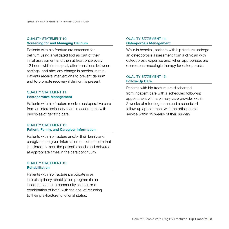### QUALITY STATEMENT 10: **Screening for and Managing Delirium**

Patients with hip fracture are screened for delirium using a validated tool as part of their initial assessment and then at least once every 12 hours while in hospital, after transitions between settings, and after any change in medical status. Patients receive interventions to prevent delirium and to promote recovery if delirium is present.

### QUALITY STATEMENT 11: **Postoperative Management**

Patients with hip fracture receive postoperative care from an interdisciplinary team in accordance with principles of geriatric care.

### QUALITY STATEMENT 12: **Patient, Family, and Caregiver Information**

Patients with hip fracture and/or their family and caregivers are given information on patient care that is tailored to meet the patient's needs and delivered at appropriate times in the care continuum.

### QUALITY STATEMENT 13: **Rehabilitation**

Patients with hip fracture participate in an interdisciplinary rehabilitation program (in an inpatient setting, a community setting, or a combination of both) with the goal of returning to their pre-fracture functional status.

### QUALITY STATEMENT 14: **Osteoporosis Management**

While in hospital, patients with hip fracture undergo an osteoporosis assessment from a clinician with osteoporosis expertise and, when appropriate, are offered pharmacologic therapy for osteoporosis.

### QUALITY STATEMENT 15: **Follow-Up Care**

Patients with hip fracture are discharged from inpatient care with a scheduled follow-up appointment with a primary care provider within 2 weeks of returning home and a scheduled follow-up appointment with the orthopaedic service within 12 weeks of their surgery.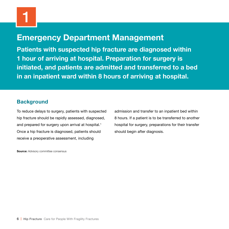# **Emergency Department Management**

**Patients with suspected hip fracture are diagnosed within 1 hour of arriving at hospital. Preparation for surgery is initiated, and patients are admitted and transferred to a bed in an inpatient ward within 8 hours of arriving at hospital.** 

# **Background**

To reduce delays to surgery, patients with suspected hip fracture should be rapidly assessed, diagnosed, and prepared for surgery upon arrival at hospital.<sup>1</sup> Once a hip fracture is diagnosed, patients should receive a preoperative assessment, including

admission and transfer to an inpatient bed within 8 hours. If a patient is to be transferred to another hospital for surgery, preparations for their transfer should begin after diagnosis.

**Source:** Advisory committee consensus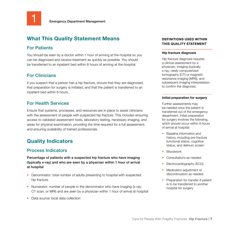

### For Patients

You should be seen by a doctor within 1 hour of arriving at the hospital so you can be diagnosed and receive treatment as quickly as possible. You should be transferred to an inpatient bed within 8 hours of arriving at the hospital.

# For Clinicians

If you suspect that a person has a hip fracture, ensure that they are diagnosed, that preparation for surgery is initiated, and that the patient is transferred to an inpatient bed within 8 hours.

# For Health Services

Ensure that systems, processes, and resources are in place to assist clinicians with the assessment of people with suspected hip fracture. This includes ensuring access to validated assessment tools, laboratory testing, necessary imaging, and areas for physical examination; providing the time required for a full assessment; and ensuring availability of trained professionals.

# **Quality Indicators**

# Process Indicators

Percentage of patients with a suspected hip fracture who have imaging (typically x-ray) and who are seen by a physician within 1 hour of arrival at hospital

- Denominator: total number of adults presenting to hospital with suspected hip fracture
- Numerator: number of people in the denominator who have imaging (x-ray, CT scan, or MRI) and are seen by a physician within 1 hour of arrival at hospital
- Data source: local data collection

### **DEFINITIONS USED WITHIN THIS QUALITY STATEMENT**

#### **Hip fracture diagnosis**

Hip fracture diagnosis requires a clinical assessment by a physician, imaging (typically x-ray; rarely computerized tomography [CT] or magnetic resonance imaging [MRI]), and subsequent imaging interpretation to confirm the diagnosis.

### **Initial preparation for surgery**

Further assessments may be needed once the patient is transferred out of the emergency department. Initial preparation for surgery involves the following, which should occur within 8 hours of arrival at hospital:

- Baseline information and history, including pre-fracture functional status, cognitive status, and delirium screen
- Bloodwork
- Consultations as needed
- Electrocardiography (ECG)
- Medication adiustment or discontinuation as needed
- Preparation for transfer if patient is to be transferred to another hospital for surgery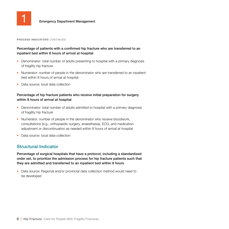

#### **PROCESS INDICATORS** CONTINUED

### Percentage of patients with a confirmed hip fracture who are transferred to an inpatient bed within 8 hours of arrival at hospital

- Denominator: total number of adults presenting to hospital with a primary diagnosis of fragility hip fracture
- Numerator: number of people in the denominator who are transferred to an inpatient bed within 8 hours of arrival at hospital
- Data source: local data collection

### Percentage of hip fracture patients who receive initial preparation for surgery within 8 hours of arrival at hospital

- Denominator: total number of adults admitted to hospital with a primary diagnosis of fragility hip fracture
- Numerator: number of people in the denominator who receive bloodwork, consultations (e.g., orthopaedic surgery, anaesthesia), ECG, and medication adjustment or discontinuation as needed within 8 hours of arrival at hospital
- Data source: local data collection

### Structural Indicator

Percentage of surgical hospitals that have a protocol, including a standardized order set, to prioritize the admission process for hip fracture patients such that they are admitted and transferred to an inpatient bed within 8 hours

• Data source: Regional and/or provincial data collection method would need to be developed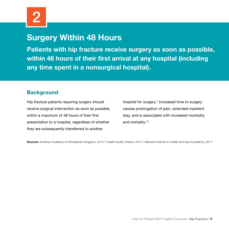# **Surgery Within 48 Hours**

**Patients with hip fracture receive surgery as soon as possible, within 48 hours of their first arrival at any hospital (including any time spent in a nonsurgical hospital).** 

# **Background**

Hip fracture patients requiring surgery should receive surgical intervention as soon as possible, within a maximum of 48 hours of their first presentation to a hospital, regardless of whether they are subsequently transferred to another

hospital for surgery.1 Increased time to surgery causes prolongation of pain, extended inpatient stay, and is associated with increased morbidity and mortality.2,3

Sources: American Academy of Orthopaedic Surgeons, 2014<sup>3</sup> | Health Quality Ontario, 2013<sup>1</sup> | National Institute for Health and Care Excellence, 2011<sup>2</sup>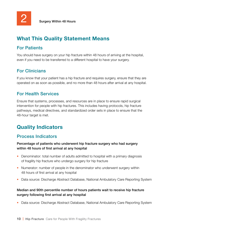# For Patients

You should have surgery on your hip fracture within 48 hours of arriving at the hospital, even if you need to be transferred to a different hospital to have your surgery.

# For Clinicians

If you know that your patient has a hip fracture and requires surgery, ensure that they are operated on as soon as possible, and no more than 48 hours after arrival at any hospital.

### For Health Services

Ensure that systems, processes, and resources are in place to ensure rapid surgical intervention for people with hip fractures. This includes having protocols, hip fracture pathways, medical directives, and standardized order sets in place to ensure that the 48-hour target is met.

# **Quality Indicators**

### Process Indicators

### Percentage of patients who underwent hip fracture surgery who had surgery within 48 hours of first arrival at any hospital

- Denominator: total number of adults admitted to hospital with a primary diagnosis of fragility hip fracture who undergo surgery for hip fracture
- Numerator: number of people in the denominator who underwent surgery within 48 hours of first arrival at any hospital
- Data source: Discharge Abstract Database, National Ambulatory Care Reporting System

### Median and 90th percentile number of hours patients wait to receive hip fracture surgery following first arrival at any hospital

• Data source: Discharge Abstract Database, National Ambulatory Care Reporting System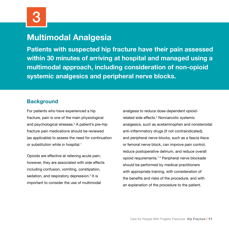# **Multimodal Analgesia**

**Patients with suspected hip fracture have their pain assessed within 30 minutes of arriving at hospital and managed using a multimodal approach, including consideration of non-opioid systemic analgesics and peripheral nerve blocks.**

# **Background**

For patients who have experienced a hip fracture, pain is one of the main physiological and psychological stresses.<sup>2</sup> A patient's pre–hip fracture pain medications should be reviewed (as applicable) to assess the need for continuation or substitution while in hospital.<sup>1</sup>

Opioids are effective at relieving acute pain; however, they are associated with side effects including confusion, vomiting, constipation, sedation, and respiratory depression.<sup>2</sup> It is important to consider the use of multimodal

analgesia to reduce dose-dependent opioidrelated side effects.<sup>4</sup> Nonnarcotic systemic analgesics, such as acetaminophen and nonsteroidal anti-inflammatory drugs (if not contraindicated), and peripheral nerve blocks, such as a fascia iliaca or femoral nerve block, can improve pain control, reduce postoperative delirium, and reduce overall opioid requirements.1-4 Peripheral nerve blockade should be performed by medical practitioners with appropriate training, with consideration of the benefits and risks of the procedure, and with an explanation of the procedure to the patient.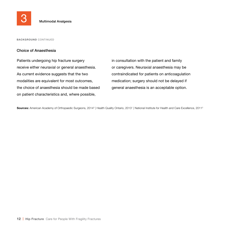

**BACKGROUND** CONTINUED

### Choice of Anaesthesia

Patients undergoing hip fracture surgery receive either neuraxial or general anaesthesia. As current evidence suggests that the two modalities are equivalent for most outcomes, the choice of anaesthesia should be made based on patient characteristics and, where possible,

in consultation with the patient and family or caregivers. Neuraxial anaesthesia may be contraindicated for patients on anticoagulation medication; surgery should not be delayed if general anaesthesia is an acceptable option.

**Sources:** American Academy of Orthopaedic Surgeons, 2014<sup>3</sup> | Health Quality Ontario, 2013<sup>1</sup> | National Institute for Health and Care Excellence, 2011<sup>2</sup>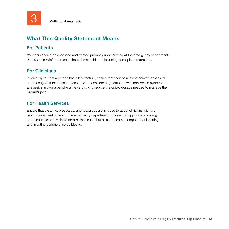

# For Patients

Your pain should be assessed and treated promptly upon arriving at the emergency department. Various pain relief treatments should be considered, including non-opioid treatments.

# For Clinicians

If you suspect that a person has a hip fracture, ensure that their pain is immediately assessed and managed. If the patient needs opioids, consider augmentation with non-opioid systemic analgesics and/or a peripheral nerve block to reduce the opioid dosage needed to manage the patient's pain.

# For Health Services

Ensure that systems, processes, and resources are in place to assist clinicians with the rapid assessment of pain in the emergency department. Ensure that appropriate training and resources are available for clinicians such that all can become competent at inserting and initiating peripheral nerve blocks.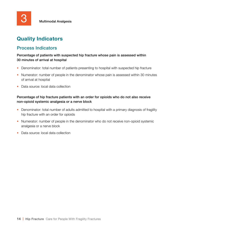# **Quality Indicators**

### Process Indicators

Percentage of patients with suspected hip fracture whose pain is assessed within 30 minutes of arrival at hospital

- Denominator: total number of patients presenting to hospital with suspected hip fracture
- Numerator: number of people in the denominator whose pain is assessed within 30 minutes of arrival at hospital
- Data source: local data collection

### Percentage of hip fracture patients with an order for opioids who do not also receive non-opioid systemic analgesia or a nerve block

- Denominator: total number of adults admitted to hospital with a primary diagnosis of fragility hip fracture with an order for opioids
- Numerator: number of people in the denominator who do not receive non-opioid systemic analgesia or a nerve block
- Data source: local data collection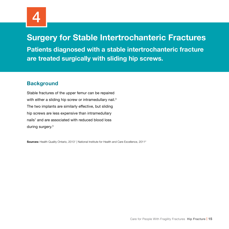

# **Surgery for Stable Intertrochanteric Fractures**

**Patients diagnosed with a stable intertrochanteric fracture are treated surgically with sliding hip screws.**

# **Background**

Stable fractures of the upper femur can be repaired with either a sliding hip screw or intramedullary nail.<sup>3</sup> The two implants are similarly effective, but sliding hip screws are less expensive than intramedullary nails<sup>1</sup> and are associated with reduced blood loss during surgery.3

**Sources:** Health Quality Ontario, 2013<sup>1</sup> | National Institute for Health and Care Excellence, 2011<sup>2</sup>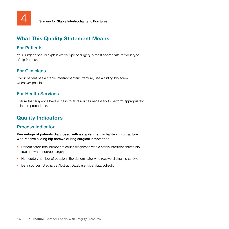

# For Patients

Your surgeon should explain which type of surgery is most appropriate for your type of hip fracture.

# For Clinicians

If your patient has a stable intertrochanteric fracture, use a sliding hip screw whenever possible.

# For Health Services

Ensure that surgeons have access to all resources necessary to perform appropriately selected procedures.

# **Quality Indicators**

# Process Indicator

Percentage of patients diagnosed with a stable intertrochanteric hip fracture who receive sliding hip screws during surgical intervention

- Denominator: total number of adults diagnosed with a stable intertrochanteric hip fracture who undergo surgery
- Numerator: number of people in the denominator who receive sliding hip screws
- Data sources: Discharge Abstract Database, local data collection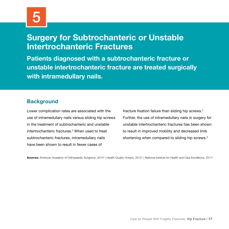# **Surgery for Subtrochanteric or Unstable Intertrochanteric Fractures**

**Patients diagnosed with a subtrochanteric fracture or unstable intertrochanteric fracture are treated surgically with intramedullary nails.**

# **Background**

Lower complication rates are associated with the use of intramedullary nails versus sliding hip screws in the treatment of subtrochanteric and unstable intertrochanteric fractures.3 When used to treat subtrochanteric fractures, intramedullary nails have been shown to result in fewer cases of

fracture fixation failure than sliding hip screws.<sup>2</sup> Further, the use of intramedullary nails in surgery for unstable intertrochanteric fractures has been shown to result in improved mobility and decreased limb shortening when compared to sliding hip screws.<sup>3</sup>

**Sources:** American Academy of Orthopaedic Surgeons, 2014<sup>3</sup> | Health Quality Ontario, 2013<sup>1</sup> | National Institute for Health and Care Excellence, 2011<sup>2</sup>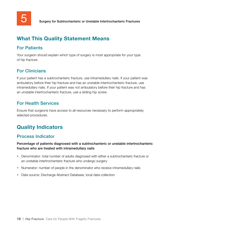### For Patients

Your surgeon should explain which type of surgery is most appropriate for your type of hip fracture.

# For Clinicians

If your patient has a subtrochanteric fracture, use intramedullary nails. If your patient was ambulatory before their hip fracture and has an unstable intertrochanteric fracture, use intramedullary nails. If your patient was not ambulatory before their hip fracture and has an unstable intertrochanteric fracture, use a sliding hip screw.

# For Health Services

Ensure that surgeons have access to all resources necessary to perform appropriately selected procedures.

# **Quality Indicators**

### Process Indicator

Percentage of patients diagnosed with a subtrochanteric or unstable intertrochanteric fracture who are treated with intramedullary nails

- Denominator: total number of adults diagnosed with either a subtrochanteric fracture or an unstable intertrochanteric fracture who undergo surgery
- Numerator: number of people in the denominator who receive intramedullary nails
- Data source: Discharge Abstract Database, local data collection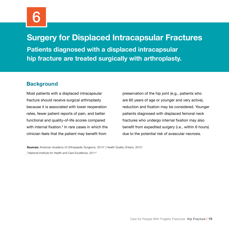# **Surgery for Displaced Intracapsular Fractures**

**Patients diagnosed with a displaced intracapsular hip fracture are treated surgically with arthroplasty.**

# **Background**

Most patients with a displaced intracapsular fracture should receive surgical arthroplasty because it is associated with lower reoperation rates, fewer patient reports of pain, and better functional and quality-of-life scores compared with internal fixation.<sup>2</sup> In rare cases in which the clinician feels that the patient may benefit from

preservation of the hip joint (e.g., patients who are 60 years of age or younger and very active), reduction and fixation may be considered. Younger patients diagnosed with displaced femoral neck fractures who undergo internal fixation may also benefit from expedited surgery (i.e., within 6 hours) due to the potential risk of avascular necrosis.

### **Sources:** American Academy of Orthopaedic Surgeons, 2014<sup>3</sup> | Health Quality Ontario, 2013<sup>1</sup> | National Institute for Health and Care Excellence, 20112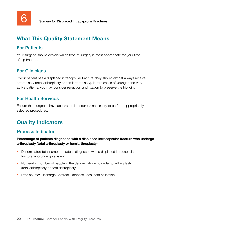# For Patients

Your surgeon should explain which type of surgery is most appropriate for your type of hip fracture.

# For Clinicians

If your patient has a displaced intracapsular fracture, they should almost always receive arthroplasty (total arthroplasty or hemiarthroplasty). In rare cases of younger and very active patients, you may consider reduction and fixation to preserve the hip joint.

### For Health Services

Ensure that surgeons have access to all resources necessary to perform appropriately selected procedures.

# **Quality Indicators**

# Process Indicator

Percentage of patients diagnosed with a displaced intracapsular fracture who undergo arthroplasty (total arthroplasty or hemiarthroplasty)

- Denominator: total number of adults diagnosed with a displaced intracapsular fracture who undergo surgery
- Numerator: number of people in the denominator who undergo arthroplasty (total arthroplasty or hemiarthroplasty)
- Data source: Discharge Abstract Database, local data collection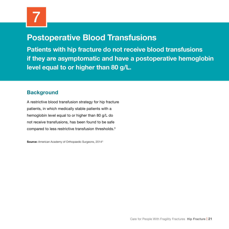# **Postoperative Blood Transfusions**

**Patients with hip fracture do not receive blood transfusions if they are asymptomatic and have a postoperative hemoglobin level equal to or higher than 80 g/L.** 

# **Background**

A restrictive blood transfusion strategy for hip fracture patients, in which medically stable patients with a hemoglobin level equal to or higher than 80 g/L do not receive transfusions, has been found to be safe compared to less restrictive transfusion thresholds.3

**Source:** American Academy of Orthopaedic Surgeons, 2014<sup>3</sup>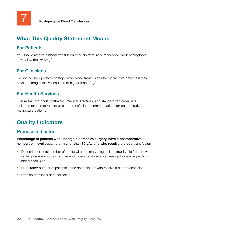# For Patients

You should receive a blood transfusion after hip fracture surgery only if your hemoglobin is very low (below 80 g/L).

# For Clinicians

Do not routinely perform postoperative blood transfusions for hip fracture patients if they have a hemoglobin level equal to or higher than 80 g/L.

# For Health Services

Ensure that protocols, pathways, medical directives, and standardized order sets include reference to restrictive blood transfusion recommendations for postoperative hip fracture patients.

# **Quality Indicators**

# Process Indicator

Percentage of patients who undergo hip fracture surgery, have a postoperative hemoglobin level equal to or higher than 80 g/L, and who receive a blood transfusion

- Denominator: total number of adults with a primary diagnosis of fragility hip fracture who undergo surgery for hip fracture and have a postoperative hemoglobin level equal to or higher than 80 g/L
- Numerator: number of patients in the denominator who receive a blood transfusion
- Data source: local data collection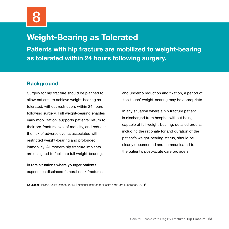# **Weight-Bearing as Tolerated**

**Patients with hip fracture are mobilized to weight-bearing as tolerated within 24 hours following surgery.**

# **Background**

Surgery for hip fracture should be planned to allow patients to achieve weight-bearing as tolerated, without restriction, within 24 hours following surgery. Full weight-bearing enables early mobilization, supports patients' return to their pre-fracture level of mobility, and reduces the risk of adverse events associated with restricted weight-bearing and prolonged immobility. All modern hip fracture implants are designed to facilitate full weight-bearing.

In rare situations where younger patients experience displaced femoral neck fractures and undergo reduction and fixation, a period of 'toe-touch' weight-bearing may be appropriate.

In any situation where a hip fracture patient is discharged from hospital without being capable of full weight-bearing, detailed orders, including the rationale for and duration of the patient's weight-bearing status, should be clearly documented and communicated to the patient's post–acute care providers.

**Sources:** Health Quality Ontario, 2013<sup>1</sup> | National Institute for Health and Care Excellence, 2011<sup>2</sup>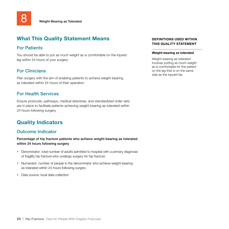### For Patients

You should be able to put as much weight as is comfortable on the injured leg within 24 hours of your surgery.

# For Clinicians

Plan surgery with the aim of enabling patients to achieve weight-bearing as tolerated within 24 hours of their operation.

### For Health Services

Ensure protocols, pathways, medical directives, and standardized order sets are in place to facilitate patients achieving weight-bearing as tolerated within 24 hours following surgery.

# **Quality Indicators**

### Outcome Indicator

Percentage of hip fracture patients who achieve weight-bearing as tolerated within 24 hours following surgery

- Denominator: total number of adults admitted to hospital with a primary diagnosis of fragility hip fracture who undergo surgery for hip fracture
- Numerator: number of people in the denominator who achieve weight-bearing as tolerated within 24 hours following surgery
- Data source: local data collection

### **DEFINITIONS USED WITHIN THIS QUALITY STATEMENT**

#### **Weight-bearing as tolerated**

Weight-bearing as tolerated involves putting as much weight as is comfortable for the patient on the leg that is on the same side as the injured hip.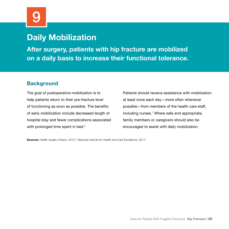# 9

# **Daily Mobilization**

**After surgery, patients with hip fracture are mobilized on a daily basis to increase their functional tolerance.**

# **Background**

The goal of postoperative mobilization is to help patients return to their pre-fracture level of functioning as soon as possible. The benefits of early mobilization include decreased length of hospital stay and fewer complications associated with prolonged time spent in bed.<sup>2</sup>

Patients should receive assistance with mobilization at least once each day—more often whenever possible—from members of the health care staff, including nurses.<sup>1</sup> Where safe and appropriate, family members or caregivers should also be encouraged to assist with daily mobilization.

**Sources:** Health Quality Ontario, 2013<sup>1</sup> | National Institute for Health and Care Excellence, 2011<sup>2</sup>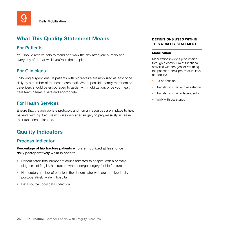### For Patients

You should receive help to stand and walk the day after your surgery and every day after that while you're in the hospital.

# For Clinicians

Following surgery, ensure patients with hip fracture are mobilized at least once daily by a member of the health care staff. Where possible, family members or caregivers should be encouraged to assist with mobilization, once your health care team deems it safe and appropriate.

### For Health Services

Ensure that the appropriate protocols and human resources are in place to help patients with hip fracture mobilize daily after surgery to progressively increase their functional tolerance.

# **Quality Indicators**

### Process Indicator

Percentage of hip fracture patients who are mobilized at least once daily postoperatively while in hospital

- Denominator: total number of adults admitted to hospital with a primary diagnosis of fragility hip fracture who undergo surgery for hip fracture
- Numerator: number of people in the denominator who are mobilized daily postoperatively while in hospital
- Data source: local data collection

### **DEFINITIONS USED WITHIN THIS QUALITY STATEMENT**

#### **Mobilization**

Mobilization involves progression through a continuum of functional activities with the goal of returning the patient to their pre-fracture level of mobility:

- Sit at bedside
- Transfer to chair with assistance
- Transfer to chair independently
- Walk with assistance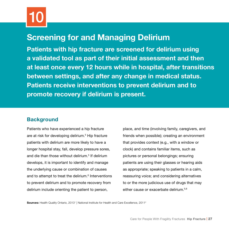# **Screening for and Managing Delirium**

**Patients with hip fracture are screened for delirium using a validated tool as part of their initial assessment and then at least once every 12 hours while in hospital, after transitions between settings, and after any change in medical status. Patients receive interventions to prevent delirium and to promote recovery if delirium is present.** 

# **Background**

Patients who have experienced a hip fracture are at risk for developing delirium.5 Hip fracture patients with delirium are more likely to have a longer hospital stay, fall, develop pressure sores, and die than those without delirium.<sup>5</sup> If delirium develops, it is important to identify and manage the underlying cause or combination of causes and to attempt to treat the delirium.<sup>6</sup> Interventions to prevent delirium and to promote recovery from delirium include orienting the patient to person,

place, and time (involving family, caregivers, and friends when possible); creating an environment that provides context (e.g., with a window or clock) and contains familiar items, such as pictures or personal belongings; ensuring patients are using their glasses or hearing aids as appropriate; speaking to patients in a calm, reassuring voice; and considering alternatives to or the more judicious use of drugs that may either cause or exacerbate delirium.<sup>5,6</sup>

**Sources:** Health Quality Ontario, 2013<sup>1</sup> | National Institute for Health and Care Excellence, 2011<sup>2</sup>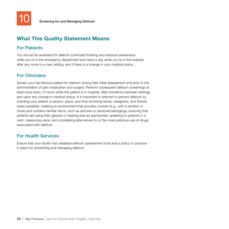

# For Patients

You should be assessed for delirium (confused thinking and reduced awareness) while you're in the emergency department and twice a day while you're in the hospital, after any move to a new setting, and if there is a change in your medical status.

# For Clinicians

Screen your hip fracture patient for delirium during their initial assessment and prior to the administration of pain medication and surgery. Perform subsequent delirium screenings at least once every 12 hours while the patient is in hospital, after transitions between settings, and upon any change in medical status. It is important to attempt to prevent delirium by orienting your patient to person, place, and time (involving family, caregivers, and friends when possible); creating an environment that provides context (e.g., with a window or clock) and contains familiar items, such as pictures or personal belongings; ensuring that patients are using their glasses or hearing aids as appropriate; speaking to patients in a calm, reassuring voice; and considering alternatives to or the more judicious use of drugs associated with delirium.

# For Health Services

Ensure that your facility has validated delirium assessment tools and a policy or protocol in place for preventing and managing delirium.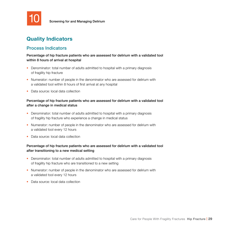

Screening for and Managing Delirium

# **Quality Indicators**

### Process Indicators

Percentage of hip fracture patients who are assessed for delirium with a validated tool within 8 hours of arrival at hospital

- Denominator: total number of adults admitted to hospital with a primary diagnosis of fragility hip fracture
- Numerator: number of people in the denominator who are assessed for delirium with a validated tool within 8 hours of first arrival at any hospital
- Data source: local data collection

### Percentage of hip fracture patients who are assessed for delirium with a validated tool after a change in medical status

- Denominator: total number of adults admitted to hospital with a primary diagnosis of fragility hip fracture who experience a change in medical status
- Numerator: number of people in the denominator who are assessed for delirium with a validated tool every 12 hours
- Data source: local data collection

### Percentage of hip fracture patients who are assessed for delirium with a validated tool after transitioning to a new medical setting

- Denominator: total number of adults admitted to hospital with a primary diagnosis of fragility hip fracture who are transitioned to a new setting
- Numerator: number of people in the denominator who are assessed for delirium with a validated tool every 12 hours
- Data source: local data collection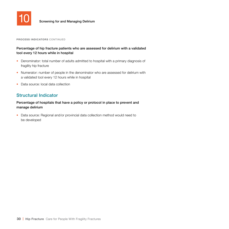

**PROCESS INDICATORS** CONTINUED

### Percentage of hip fracture patients who are assessed for delirium with a validated tool every 12 hours while in hospital

- Denominator: total number of adults admitted to hospital with a primary diagnosis of fragility hip fracture
- Numerator: number of people in the denominator who are assessed for delirium with a validated tool every 12 hours while in hospital
- Data source: local data collection

### Structural Indicator

### Percentage of hospitals that have a policy or protocol in place to prevent and manage delirium

• Data source: Regional and/or provincial data collection method would need to be developed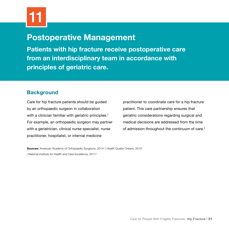# **Postoperative Management**

**Patients with hip fracture receive postoperative care from an interdisciplinary team in accordance with principles of geriatric care.**

# **Background**

Care for hip fracture patients should be guided by an orthopaedic surgeon in collaboration with a clinician familiar with geriatric principles.<sup>7</sup> For example, an orthopaedic surgeon may partner with a geriatrician, clinical nurse specialist, nurse practitioner, hospitalist, or internal medicine

practitioner to coordinate care for a hip fracture patient. This care partnership ensures that geriatric considerations regarding surgical and medical decisions are addressed from the time of admission throughout the continuum of care.<sup>2</sup>

**Sources:** American Academy of Orthopaedic Surgeons, 2014<sup>3</sup> | Health Quality Ontario, 2013<sup>1</sup> | National Institute for Health and Care Excellence, 20112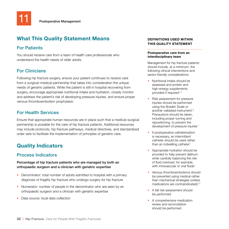# For Patients

You should receive care from a team of health care professionals who understand the health needs of older adults.

# For Clinicians

Following hip fracture surgery, ensure your patient continues to receive care from a surgical–medical partnership that takes into consideration the unique needs of geriatric patients. While the patient is still in hospital recovering from surgery, encourage appropriate nutritional intake and hydration, closely monitor and address the patient's risk of developing pressure injuries, and ensure proper venous thromboembolism prophylaxis.

### For Health Services

Ensure that appropriate human resources are in place such that a medical–surgical partnership is possible for the care of hip fracture patients. Additional resources may include protocols, hip fracture pathways, medical directives, and standardized order sets to facilitate the implementation of principles of geriatric care.

# **Quality Indicators**

# Process Indicators

### Percentage of hip fracture patients who are managed by both an orthopaedic surgeon and a clinician with geriatric expertise

- Denominator: total number of adults admitted to hospital with a primary diagnosis of fragility hip fracture who undergo surgery for hip fracture
- Numerator: number of people in the denominator who are seen by an orthopaedic surgeon and a clinician with geriatric expertise
- Data source: local data collection

### **DEFINITIONS USED WITHIN THIS QUALITY STATEMENT**

### **Postoperative care from an interdisciplinary team**

Management for hip fracture patients should include, at a minimum, the following clinical interventions and senior-friendly considerations:

- Nutritional intake should be assessed and protein and high-energy supplements provided if required<sup>1,3</sup>
- Risk assessment for pressure injuries should be performed using the Braden Scale or another validated instrument.<sup>8</sup> Precautions should be taken, including proper turning and repositioning, to prevent the development of pressure injuries<sup>1</sup>
- If postoperative catheterization is necessary, an intermittent catheter should be used rather than an indwelling catheter<sup>1</sup>
- Appropriate hydration should be provided to help prevent delirium while carefully balancing the risk of fluid overload; for example, with intravascular or oral fluids<sup>1</sup>
- Venous thromboembolisms should be prevented using medical rather than mechanical strategies (unless medications are contraindicated)<sup>1,3</sup>
- A fall risk assessment should be performed
- A comprehensive medication review and reconciliation should be performed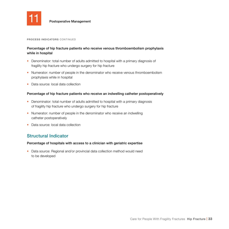

Postoperative Management

#### **PROCESS INDICATORS** CONTINUED

### Percentage of hip fracture patients who receive venous thromboembolism prophylaxis while in hospital

- Denominator: total number of adults admitted to hospital with a primary diagnosis of fragility hip fracture who undergo surgery for hip fracture
- Numerator: number of people in the denominator who receive venous thromboembolism prophylaxis while in hospital
- Data source: local data collection

### Percentage of hip fracture patients who receive an indwelling catheter postoperatively

- Denominator: total number of adults admitted to hospital with a primary diagnosis of fragility hip fracture who undergo surgery for hip fracture
- Numerator: number of people in the denominator who receive an indwelling catheter postoperatively
- Data source: local data collection

### Structural Indicator

### Percentage of hospitals with access to a clinician with geriatric expertise

• Data source: Regional and/or provincial data collection method would need to be developed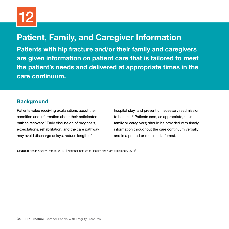# **Patient, Family, and Caregiver Information**

**Patients with hip fracture and/or their family and caregivers are given information on patient care that is tailored to meet the patient's needs and delivered at appropriate times in the care continuum.** 

# **Background**

Patients value receiving explanations about their condition and information about their anticipated path to recovery.2 Early discussion of prognosis, expectations, rehabilitation, and the care pathway may avoid discharge delays, reduce length of

hospital stay, and prevent unnecessary readmission to hospital.<sup>2</sup> Patients (and, as appropriate, their family or caregivers) should be provided with timely information throughout the care continuum verbally and in a printed or multimedia format.

**Sources:** Health Quality Ontario, 2013<sup>1</sup> | National Institute for Health and Care Excellence, 2011<sup>2</sup>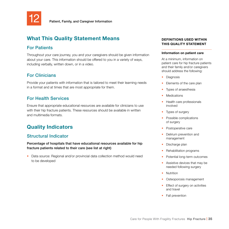

### For Patients

Throughout your care journey, you and your caregivers should be given information about your care. This information should be offered to you in a variety of ways, including verbally, written down, or in a video.

# For Clinicians

Provide your patients with information that is tailored to meet their learning needs in a format and at times that are most appropriate for them.

# For Health Services

Ensure that appropriate educational resources are available for clinicians to use with their hip fracture patients. These resources should be available in written and multimedia formats.

# **Quality Indicators**

# Structural Indicator

Percentage of hospitals that have educational resources available for hip fracture patients related to their care (see list at right)

• Data source: Regional and/or provincial data collection method would need to be developed

### **DEFINITIONS USED WITHIN THIS QUALITY STATEMENT**

#### **Information on patient care**

At a minimum, information on patient care for hip fracture patients and their family and/or caregivers should address the following:

- Diagnosis
- Elements of the care plan
- Types of anaesthesia
- **Medications**
- Health care professionals involved
- Types of surgery
- Possible complications of surgery
- Postoperative care
- Delirium prevention and management
- Discharge plan
- Rehabilitation programs
- Potential long-term outcomes
- Assistive devices that may be needed following surgery
- Nutrition
- Osteoporosis management
- Effect of surgery on activities and travel
- Fall prevention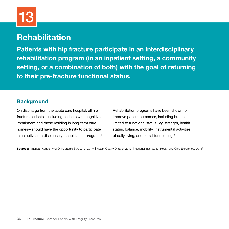# 13

# **Rehabilitation**

**Patients with hip fracture participate in an interdisciplinary rehabilitation program (in an inpatient setting, a community setting, or a combination of both) with the goal of returning to their pre-fracture functional status.** 

# **Background**

On discharge from the acute care hospital, all hip fracture patients—including patients with cognitive impairment and those residing in long-term care homes—should have the opportunity to participate in an active interdisciplinary rehabilitation program.<sup>1</sup> Rehabilitation programs have been shown to improve patient outcomes, including but not limited to functional status, leg strength, health status, balance, mobility, instrumental activities of daily living, and social functioning.3

**Sources:** American Academy of Orthopaedic Surgeons, 2014<sup>3</sup> | Health Quality Ontario, 2013<sup>1</sup> | National Institute for Health and Care Excellence, 2011<sup>2</sup>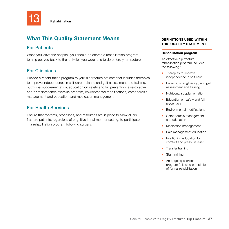

**Rehabilitation** 

# **What This Quality Statement Means**

# For Patients

When you leave the hospital, you should be offered a rehabilitation program to help get you back to the activities you were able to do before your fracture.

# For Clinicians

Provide a rehabilitation program to your hip fracture patients that includes therapies to improve independence in self-care, balance and gait assessment and training, nutritional supplementation, education on safety and fall prevention, a restorative and/or maintenance exercise program, environmental modifications, osteoporosis management and education, and medication management.

# For Health Services

Ensure that systems, processes, and resources are in place to allow all hip fracture patients, regardless of cognitive impairment or setting, to participate in a rehabilitation program following surgery.

### **DEFINITIONS USED WITHIN THIS QUALITY STATEMENT**

#### **Rehabilitation program**

An effective hip fracture rehabilitation program includes the following<sup>1</sup>:

- Therapies to improve independence in self-care
- Balance, strengthening, and gait assessment and training
- Nutritional supplementation
- Education on safety and fall prevention
- Environmental modifications
- Osteoporosis management and education
- Medication management
- Pain management education
- Positioning education for comfort and pressure relief
- Transfer training
- Stair training
- An ongoing exercise program following completion of formal rehabilitation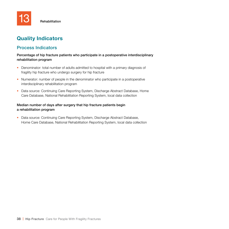# **Quality Indicators**

# Process Indicators

### Percentage of hip fracture patients who participate in a postoperative interdisciplinary rehabilitation program

- Denominator: total number of adults admitted to hospital with a primary diagnosis of fragility hip fracture who undergo surgery for hip fracture
- Numerator: number of people in the denominator who participate in a postoperative interdisciplinary rehabilitation program
- Data source: Continuing Care Reporting System, Discharge Abstract Database, Home Care Database, National Rehabilitation Reporting System, local data collection

### Median number of days after surgery that hip fracture patients begin a rehabilitation program

• Data source: Continuing Care Reporting System, Discharge Abstract Database, Home Care Database, National Rehabilitation Reporting System, local data collection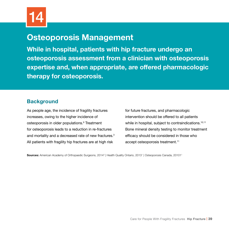# **Osteoporosis Management**

**While in hospital, patients with hip fracture undergo an osteoporosis assessment from a clinician with osteoporosis expertise and, when appropriate, are offered pharmacologic therapy for osteoporosis.** 

# **Background**

As people age, the incidence of fragility fractures increases, owing to the higher incidence of osteoporosis in older populations.9 Treatment for osteoporosis leads to a reduction in re-fractures and mortality and a decreased rate of new fractures.3 All patients with fragility hip fractures are at high risk

for future fractures, and pharmacologic intervention should be offered to all patients while in hospital, subject to contraindications.<sup>10,11</sup> Bone mineral density testing to monitor treatment efficacy should be considered in those who accept osteoporosis treatment.<sup>11</sup>

**Sources:** American Academy of Orthopaedic Surgeons, 2014<sup>3</sup> | Health Quality Ontario, 2013<sup>1</sup> | Osteoporosis Canada, 20101<sup>1</sup>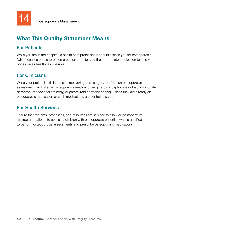# For Patients

While you are in the hospital, a health care professional should assess you for osteoporosis (which causes bones to become brittle) and offer you the appropriate medication to help your bones be as healthy as possible.

# For Clinicians

While your patient is still in hospital recovering from surgery, perform an osteoporosis assessment, and offer an osteoporosis medication (e.g., a bisphosphonate or bisphosphonate derivative, monoclonal antibody, or parathyroid hormone analog) unless they are already on osteoporosis medication or such medications are contraindicated.

### For Health Services

Ensure that systems, processes, and resources are in place to allow all postoperative hip fracture patients to access a clinician with osteoporosis expertise who is qualified to perform osteoporosis assessments and prescribe osteoporosis medications.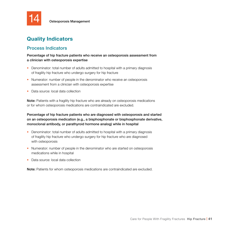

Osteoporosis Management

# **Quality Indicators**

### Process Indicators

Percentage of hip fracture patients who receive an osteoporosis assessment from a clinician with osteoporosis expertise

- Denominator: total number of adults admitted to hospital with a primary diagnosis of fragility hip fracture who undergo surgery for hip fracture
- Numerator: number of people in the denominator who receive an osteoporosis assessment from a clinician with osteoporosis expertise
- Data source: local data collection

Note: Patients with a fragility hip fracture who are already on osteoporosis medications or for whom osteoporosis medications are contraindicated are excluded.

Percentage of hip fracture patients who are diagnosed with osteoporosis and started on an osteoporosis medication (e.g., a bisphosphonate or bisphosphonate derivative, monoclonal antibody, or parathyroid hormone analog) while in hospital

- Denominator: total number of adults admitted to hospital with a primary diagnosis of fragility hip fracture who undergo surgery for hip fracture who are diagnosed with osteoporosis
- Numerator: number of people in the denominator who are started on osteoporosis medications while in hospital
- Data source: local data collection

Note: Patients for whom osteoporosis medications are contraindicated are excluded.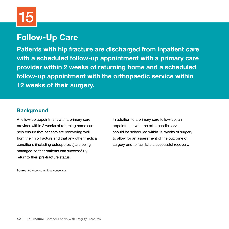# **Follow-Up Care**

**Patients with hip fracture are discharged from inpatient care with a scheduled follow-up appointment with a primary care provider within 2 weeks of returning home and a scheduled follow-up appointment with the orthopaedic service within 12 weeks of their surgery.** 

# **Background**

A follow-up appointment with a primary care provider within 2 weeks of returning home can help ensure that patients are recovering well from their hip fracture and that any other medical conditions (including osteoporosis) are being managed so that patients can successfully returnto their pre-fracture status.

In addition to a primary care follow-up, an appointment with the orthopaedic service should be scheduled within 12 weeks of surgery to allow for an assessment of the outcome of surgery and to facilitate a successful recovery.

**Source:** Advisory committee consensus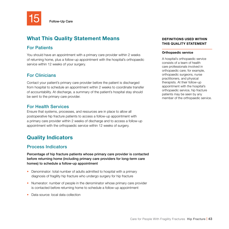

Follow-Up Care

# **What This Quality Statement Means**

### For Patients

You should have an appointment with a primary care provider within 2 weeks of returning home, plus a follow-up appointment with the hospital's orthopaedic service within 12 weeks of your surgery.

# For Clinicians

Contact your patient's primary care provider before the patient is discharged from hospital to schedule an appointment within 2 weeks to coordinate transfer of accountability. At discharge, a summary of the patient's hospital stay should be sent to the primary care provider.

### For Health Services

Ensure that systems, processes, and resources are in place to allow all postoperative hip fracture patients to access a follow-up appointment with a primary care provider within 2 weeks of discharge and to access a follow-up appointment with the orthopaedic service within 12 weeks of surgery.

# **Quality Indicators**

### Process Indicators

Percentage of hip fracture patients whose primary care provider is contacted before returning home (including primary care providers for long-term care homes) to schedule a follow-up appointment

- Denominator: total number of adults admitted to hospital with a primary diagnosis of fragility hip fracture who undergo surgery for hip fracture
- Numerator: number of people in the denominator whose primary care provider is contacted before returning home to schedule a follow-up appointment
- Data source: local data collection

### **DEFINITIONS USED WITHIN THIS QUALITY STATEMENT**

### **Orthopaedic service**

A hospital's orthopaedic service consists of a team of health care professionals involved in orthopaedic care; for example, orthopaedic surgeons, nurse practitioners, and physical therapists. At their follow-up appointment with the hospital's orthopaedic service, hip fracture patients may be seen by any member of the orthopaedic service.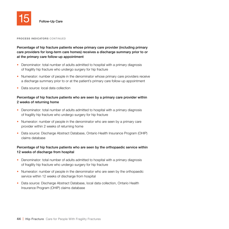

#### **PROCESS INDICATORS** CONTINUED

Percentage of hip fracture patients whose primary care provider (including primary care providers for long-term care homes) receives a discharge summary prior to or at the primary care follow-up appointment

- Denominator: total number of adults admitted to hospital with a primary diagnosis of fragility hip fracture who undergo surgery for hip fracture
- Numerator: number of people in the denominator whose primary care providers receive a discharge summary prior to or at the patient's primary care follow-up appointment
- Data source: local data collection

### Percentage of hip fracture patients who are seen by a primary care provider within 2 weeks of returning home

- Denominator: total number of adults admitted to hospital with a primary diagnosis of fragility hip fracture who undergo surgery for hip fracture
- Numerator: number of people in the denominator who are seen by a primary care provider within 2 weeks of returning home
- Data source: Discharge Abstract Database, Ontario Health Insurance Program (OHIP) claims database

### Percentage of hip fracture patients who are seen by the orthopaedic service within 12 weeks of discharge from hospital

- Denominator: total number of adults admitted to hospital with a primary diagnosis of fragility hip fracture who undergo surgery for hip fracture
- Numerator: number of people in the denominator who are seen by the orthopaedic service within 12 weeks of discharge from hospital
- Data source: Discharge Abstract Database, local data collection, Ontario Health Insurance Program (OHIP) claims database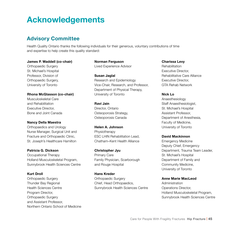# **Acknowledgements**

# **Advisory Committee**

Health Quality Ontario thanks the following individuals for their generous, voluntary contributions of time and expertise to help create this quality standard:

### **James P. Waddell (co-chair)**

Orthopaedic Surgery St. Michael's Hospital Professor, Division of Orthopaedic Surgery, University of Toronto

#### **Rhona McGlasson (co-chair)**

Musculoskeletal Care and Rehabilitation Executive Director, Bone and Joint Canada

#### **Nancy Della Maestra**

Orthopaedics and Urology Nurse Manager, Surgical Unit and Fracture and Orthopaedic Clinic, St. Joseph's Healthcare Hamilton

#### **Patricia G. Dickson**

Occupational Therapy Holland Musculoskeletal Program, Sunnybrook Health Sciences Centre

### **Kurt Droll**

Orthopaedic Surgery Thunder Bay Regional Health Sciences Centre Program Director, Orthopaedic Surgery and Assistant Professor, Northern Ontario School of Medicine

**Norman Ferguson** Lived Experience Advisor

**Susan Jaglal** Research and Epidemiology Vice-Chair, Research, and Professor, Department of Physical Therapy, University of Toronto

**Ravi Jain** Director, Ontario Osteoporosis Strategy, Osteoporosis Canada

### **Helen A. Johnson** Physiotherapy ESC LHIN Rehabilitation Lead, Chatham–Kent Health Alliance

**Christopher Jyu** Primary Care Family Physician, Scarborough and Rouge Hospital

**Hans Kreder** Orthopaedic Surgery Chief, Head Orthopaedics, Sunnybrook Health Sciences Centre

### **Charissa Levy**

Rehabilitation Executive Director, Rehabilitative Care Alliance Executive Director, GTA Rehab Network

### **Nick Lo**

Anaesthesiology Staff Anaesthesiologist, St. Michael's Hospital Assistant Professor, Department of Anesthesia, Faculty of Medicine, University of Toronto

### **David Mackinnon**

Emergency Medicine Deputy Chief, Emergency Department, Trauma Team Leader, St. Michael's Hospital Department of Family and Community Medicine, University of Toronto

### **Anne Marie MacLeod**

Administration Operations Director, Holland Musculoskeletal Program, Sunnybrook Health Sciences Centre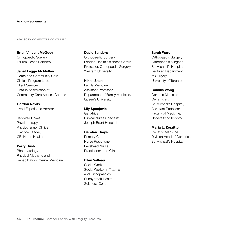#### Acknowledgements

#### **ADVISORY COMMITTEE** CONTINUED

**Brian Vincent McGoey** Orthopaedic Surgery Trillium Health Partners

**Janet Legge McMullan** Home and Community Care Clinical Program Lead, Client Services, Ontario Association of Community Care Access Centres

**Gordon Nevils** Lived Experience Advisor

**Jennifer Rowe** Physiotherapy Physiotherapy Clinical Practice Leader, CBI Home Health

**Perry Rush** Rheumatology Physical Medicine and Rehabilitation Internal Medicine **David Sanders**

Orthopaedic Surgery London Health Sciences Centre Professor, Orthopaedic Surgery, Western University

#### **Nikhil Shah**

Family Medicine Assistant Professor, Department of Family Medicine, Queen's University

**Lily Spanjevic Geriatrics** Clinical Nurse Specialist, Joseph Brant Hospital

#### **Carolan Thayer**

Primary Care Nurse Practitioner, Lakehead Nurse Practitioner–Led Clinic

**Ellen Valleau** Social Work Social Worker in Trauma and Orthopaedics, Sunnybrook Health Sciences Centre

**Sarah Ward**

Orthopaedic Surgery Orthopaedic Surgeon, St. Michael's Hospital Lecturer, Department of Surgery, University of Toronto

### **Camilla Wong**

Geriatric Medicine Geriatrician, St. Michael's Hospital, Assistant Professor, Faculty of Medicine, University of Toronto

**Maria L. Zorzitto**

Geriatric Medicine Division Head of Geriatrics, St. Michael's Hospital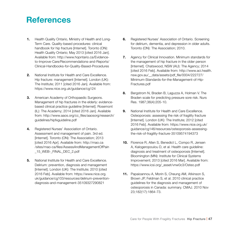# **References**

- **1.** Health Quality Ontario, Ministry of Health and Long-Term Care. Quality-based procedures: clinical handbook for hip fracture [Internet]. Toronto (ON): Health Quality Ontario; May 2013 [cited 2016 Jan]. Available from: http://www.hqontario.ca/Evidenceto-Improve-Care/Recommendations-and-Reports/ Clinical-Handbooks-for-Quality-Based-Procedures
- **2.** National Institute for Health and Care Excellence. Hip fracture: management [Internet]. London (UK): The Institute; 2011 [cited 2016 Jan]. Available from: https://www.nice.org.uk/guidance/cg124
- **3.** American Academy of Orthopaedic Surgeons. Management of hip fractures in the elderly: evidencebased clinical practice guideline [Internet]. Rosemont (IL): The Academy; 2014 [cited 2016 Jan]. Available from: http://www.aaos.org/cc\_files/aaosorg/research/ guidelines/hipfxguideline.pdf
- **4.** Registered Nurses' Association of Ontario. Assessment and management of pain. 3rd ed. [Internet]. Toronto (ON): The Association; 2013 [cited 2016 Apr]. Available from: http://rnao.ca /sites/rnao-ca/files/AssessAndManagementOfPain \_15\_WEB-\_FINAL\_DEC\_2.pdf
- **5.** National Institute for Health and Care Excellence. Delirium: prevention, diagnosis and management [Internet]. London (UK): The Institute; 2010 [cited 2016 Feb]. Available from: https://www.nice.org. uk/guidance/cg103/resources/delirium-preventiondiagnosis-and-management-35109327290821
- **6.** Registered Nurses' Association of Ontario. Screening for delirium, dementia, and depression in older adults. Toronto (ON): The Association; 2010.
- **7.** Agency for Clinical Innovation. Minimum standards for the management of hip fracture in the older person [Internet]. Chatswood, NSW (AU): The Agency; 2014 [cited 2016 Feb]. Available from: http://www.aci.health. nsw.gov.au/\_\_data/assets/pdf\_file/0004/222727/ Minimum-Standards-for-the-Management-of-Hip-Fractures.pdf
- **8.** Bergstrom N, Braden B, Laguzza A, Holman V. The Braden scale for predicting pressure sore risk. Nurs Res. 1987;36(4):205-10.
- **9.** National Institute for Health and Care Excellence. Osteoporosis: assessing the risk of fragility fracture [Internet]. London (UK): The Institute; 2012 [cited 2016 Feb]. Available from: https://www.nice.org.uk/ guidance/cg146/resources/osteoporosis-assessingthe-risk-of-fragility-fracture-35109574194373
- **10.** Florence R, Allen S, Benedict L, Compo R, Jensen A, Kalogeropoulou D, et al. Health care guideline: diagnosis and treatment of osteoporosis [Internet]. Bloomington (MN): Institute for Clinical Systems Improvement; 2013 [cited 2016 Mar]. Available from: https://www.icsi.org/\_asset/vnw0c3/Osteo.pdf
- **11.** Papaioannou A, Morin S, Cheung AM, Atkinson S, Brown JP, Feldman S, et al. 2010 clinical practice guidelines for the diagnosis and management of osteoporosis in Canada: summary. CMAJ. 2010 Nov 23;182(17):1864-73.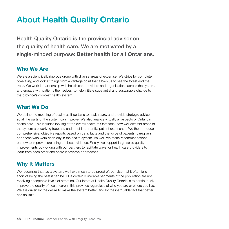# **About Health Quality Ontario**

Health Quality Ontario is the provincial advisor on the quality of health care. We are motivated by a single-minded purpose: **Better health for all Ontarians.**

# **Who We Are**

We are a scientifically rigorous group with diverse areas of expertise. We strive for complete objectivity, and look at things from a vantage point that allows us to see the forest and the trees. We work in partnership with health care providers and organizations across the system, and engage with patients themselves, to help initiate substantial and sustainable change to the province's complex health system.

# **What We Do**

We define the meaning of quality as it pertains to health care, and provide strategic advice so all the parts of the system can improve. We also analyze virtually all aspects of Ontario's health care. This includes looking at the overall health of Ontarians, how well different areas of the system are working together, and most importantly, patient experience. We then produce comprehensive, objective reports based on data, facts and the voice of patients, caregivers, and those who work each day in the health system. As well, we make recommendations on how to improve care using the best evidence. Finally, we support large scale quality improvements by working with our partners to facilitate ways for health care providers to learn from each other and share innovative approaches.

# **Why It Matters**

We recognize that, as a system, we have much to be proud of, but also that it often falls short of being the best it can be. Plus certain vulnerable segments of the population are not receiving acceptable levels of attention. Our intent at Health Quality Ontario is to continuously improve the quality of health care in this province regardless of who you are or where you live. We are driven by the desire to make the system better, and by the inarguable fact that better has no limit.